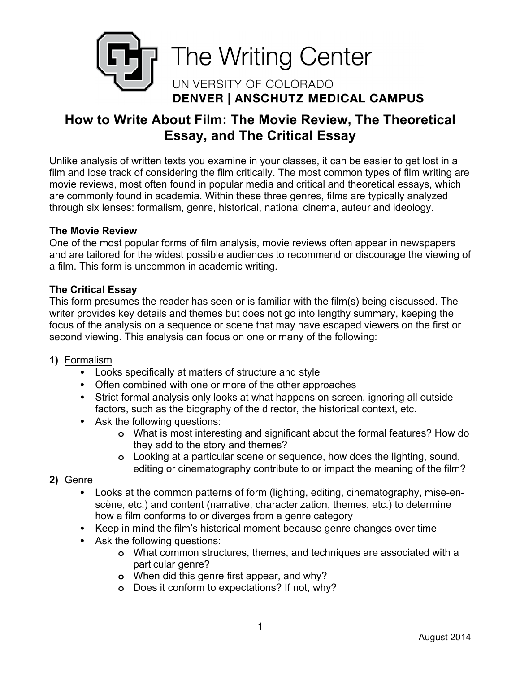

# **How to Write About Film: The Movie Review, The Theoretical Essay, and The Critical Essay**

Unlike analysis of written texts you examine in your classes, it can be easier to get lost in a film and lose track of considering the film critically. The most common types of film writing are movie reviews, most often found in popular media and critical and theoretical essays, which are commonly found in academia. Within these three genres, films are typically analyzed through six lenses: formalism, genre, historical, national cinema, auteur and ideology.

#### **The Movie Review**

One of the most popular forms of film analysis, movie reviews often appear in newspapers and are tailored for the widest possible audiences to recommend or discourage the viewing of a film. This form is uncommon in academic writing.

#### **The Critical Essay**

This form presumes the reader has seen or is familiar with the film(s) being discussed. The writer provides key details and themes but does not go into lengthy summary, keeping the focus of the analysis on a sequence or scene that may have escaped viewers on the first or second viewing. This analysis can focus on one or many of the following:

- **1)** Formalism
	- Looks specifically at matters of structure and style
	- Often combined with one or more of the other approaches
	- Strict formal analysis only looks at what happens on screen, ignoring all outside factors, such as the biography of the director, the historical context, etc.
	- Ask the following questions:
		- **o** What is most interesting and significant about the formal features? How do they add to the story and themes?
		- **o** Looking at a particular scene or sequence, how does the lighting, sound, editing or cinematography contribute to or impact the meaning of the film?
- **2)** Genre
	- Looks at the common patterns of form (lighting, editing, cinematography, mise-enscène, etc.) and content (narrative, characterization, themes, etc.) to determine how a film conforms to or diverges from a genre category
	- Keep in mind the film's historical moment because genre changes over time
	- Ask the following questions:
		- **o** What common structures, themes, and techniques are associated with a particular genre?
		- **o** When did this genre first appear, and why?
		- **o** Does it conform to expectations? If not, why?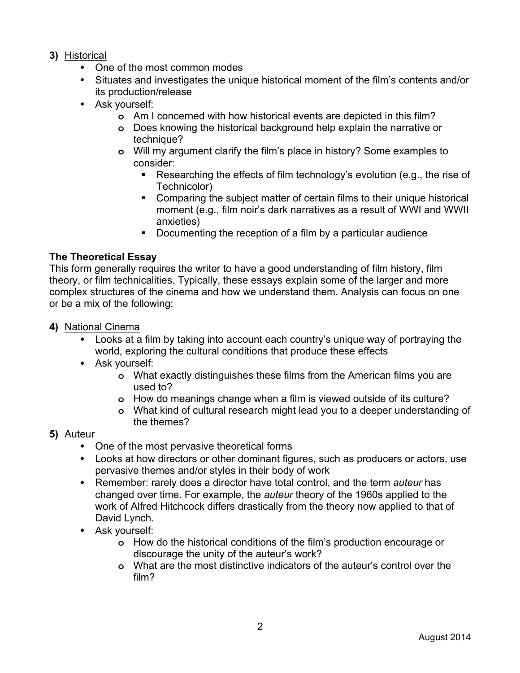### **3)** Historical

- One of the most common modes
- Situates and investigates the unique historical moment of the film's contents and/or its production/release
- Ask yourself:
	- **o** Am I concerned with how historical events are depicted in this film?
	- **o** Does knowing the historical background help explain the narrative or technique?
	- **o** Will my argument clarify the film's place in history? Some examples to consider:
		- Researching the effects of film technology's evolution (e.g., the rise of Technicolor)
		- § Comparing the subject matter of certain films to their unique historical moment (e.g., film noir's dark narratives as a result of WWI and WWII anxieties)
		- Documenting the reception of a film by a particular audience

# **The Theoretical Essay**

This form generally requires the writer to have a good understanding of film history, film theory, or film technicalities. Typically, these essays explain some of the larger and more complex structures of the cinema and how we understand them. Analysis can focus on one or be a mix of the following:

### **4)** National Cinema

- Looks at a film by taking into account each country's unique way of portraying the world, exploring the cultural conditions that produce these effects
- Ask yourself:
	- **o** What exactly distinguishes these films from the American films you are used to?
	- **o** How do meanings change when a film is viewed outside of its culture?
	- **o** What kind of cultural research might lead you to a deeper understanding of the themes?

# **5)** Auteur

- One of the most pervasive theoretical forms
- Looks at how directors or other dominant figures, such as producers or actors, use pervasive themes and/or styles in their body of work
- Remember: rarely does a director have total control, and the term *auteur* has changed over time. For example, the *auteur* theory of the 1960s applied to the work of Alfred Hitchcock differs drastically from the theory now applied to that of David Lynch.
- Ask yourself:
	- **o** How do the historical conditions of the film's production encourage or discourage the unity of the auteur's work?
	- **o** What are the most distinctive indicators of the auteur's control over the film?